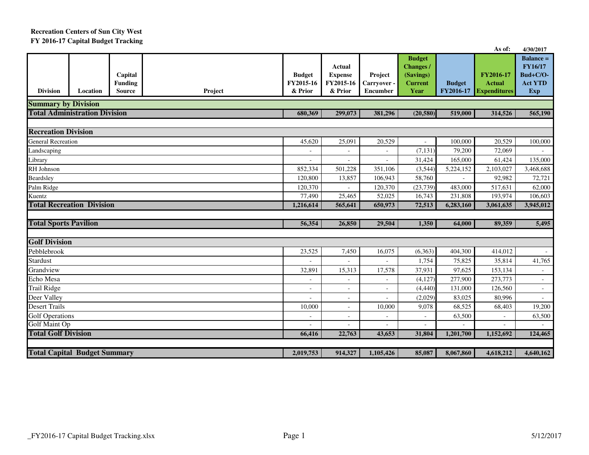## **Recreation Centers of Sun City WestFY 2016-17 Capital Budget Tracking**

|                                     |                                      |                                            |         |                                       |                                                  |                                           |                                                                          |                            | As of:                                            | 4/30/2017                                                          |
|-------------------------------------|--------------------------------------|--------------------------------------------|---------|---------------------------------------|--------------------------------------------------|-------------------------------------------|--------------------------------------------------------------------------|----------------------------|---------------------------------------------------|--------------------------------------------------------------------|
| <b>Division</b>                     | Location                             | Capital<br><b>Funding</b><br><b>Source</b> | Project | <b>Budget</b><br>FY2015-16<br>& Prior | Actual<br><b>Expense</b><br>FY2015-16<br>& Prior | Project<br>Carryover -<br><b>Encumber</b> | <b>Budget</b><br><b>Changes /</b><br>(Savings)<br><b>Current</b><br>Year | <b>Budget</b><br>FY2016-17 | FY2016-17<br><b>Actual</b><br><b>Expenditures</b> | $Balance =$<br>FY16/17<br>Bud+C/O-<br><b>Act YTD</b><br><b>Exp</b> |
| <b>Summary by Division</b>          |                                      |                                            |         |                                       |                                                  |                                           |                                                                          |                            |                                                   |                                                                    |
|                                     | <b>Total Administration Division</b> |                                            |         | 680,369                               | 299,073                                          | 381,296                                   | (20, 580)                                                                | 519,000                    | 314,526                                           | 565,190                                                            |
|                                     |                                      |                                            |         |                                       |                                                  |                                           |                                                                          |                            |                                                   |                                                                    |
| <b>Recreation Division</b>          |                                      |                                            |         |                                       |                                                  |                                           |                                                                          |                            |                                                   |                                                                    |
| <b>General Recreation</b>           |                                      |                                            |         | 45,620                                | 25,091                                           | 20,529                                    |                                                                          | 100,000                    | 20,529                                            | 100,000                                                            |
| Landscaping                         |                                      |                                            |         |                                       |                                                  | $\sim$                                    | (7, 131)                                                                 | 79,200                     | 72,069                                            |                                                                    |
| Library                             |                                      |                                            |         |                                       |                                                  |                                           | 31,424                                                                   | 165,000                    | 61,424                                            | 135,000                                                            |
| RH Johnson                          |                                      |                                            |         | 852,334                               | 501,228                                          | 351,106                                   | (3, 544)                                                                 | 5,224,152                  | 2,103,027                                         | 3,468,688                                                          |
| Beardsley                           |                                      |                                            |         | 120,800                               | 13,857                                           | 106,943                                   | 58,760                                                                   |                            | 92,982                                            | 72,721                                                             |
| Palm Ridge                          |                                      |                                            |         | 120,370                               |                                                  | 120,370                                   | (23, 739)                                                                | 483,000                    | 517,631                                           | 62,000                                                             |
| Kuentz                              |                                      |                                            |         | 77,490                                | 25,465                                           | 52,025                                    | 16,743                                                                   | 231,808                    | 193,974                                           | 106,603                                                            |
|                                     | <b>Total Recreation Division</b>     |                                            |         | 1,216,614                             | 565,641                                          | 650,973                                   | 72,513                                                                   | 6,283,160                  | 3,061,635                                         | 3,945,012                                                          |
|                                     |                                      |                                            |         |                                       |                                                  |                                           |                                                                          |                            |                                                   |                                                                    |
| <b>Total Sports Pavilion</b>        |                                      |                                            |         | 56,354                                | 26,850                                           | 29,504                                    | 1,350                                                                    | 64,000                     | 89,359                                            | 5,495                                                              |
| <b>Golf Division</b>                |                                      |                                            |         |                                       |                                                  |                                           |                                                                          |                            |                                                   |                                                                    |
| Pebblebrook                         |                                      |                                            |         | 23,525                                | 7,450                                            | 16,075                                    | (6,363)                                                                  | 404,300                    | 414,012                                           |                                                                    |
| <b>Stardust</b>                     |                                      |                                            |         |                                       |                                                  |                                           | 1,754                                                                    | 75,825                     | 35,814                                            | 41,765                                                             |
| Grandview                           |                                      |                                            |         | 32,891                                | 15,313                                           | 17,578                                    | 37,931                                                                   | 97,625                     | 153,134                                           | $\omega$                                                           |
| Echo Mesa                           |                                      |                                            |         | $\overline{\phantom{a}}$              |                                                  |                                           | (4,127)                                                                  | 277,900                    | 273,773                                           | $\sim$                                                             |
| <b>Trail Ridge</b>                  |                                      |                                            |         | $\blacksquare$                        | $\overline{a}$                                   | $\sim$                                    | (4, 440)                                                                 | 131,000                    | 126,560                                           | $\sim$                                                             |
| Deer Valley                         |                                      |                                            |         |                                       | $\qquad \qquad -$                                |                                           | (2,029)                                                                  | 83,025                     | 80,996                                            |                                                                    |
| <b>Desert Trails</b>                |                                      |                                            |         |                                       | $\overline{\phantom{a}}$                         | 10,000                                    | 9,078                                                                    | 68,525                     | 68,403                                            | 19,200                                                             |
| <b>Golf Operations</b>              |                                      |                                            |         |                                       |                                                  |                                           | $\overline{a}$                                                           | 63,500                     |                                                   | 63,500                                                             |
| Golf Maint Op                       |                                      |                                            |         |                                       |                                                  |                                           | $\overline{\phantom{a}}$                                                 |                            |                                                   |                                                                    |
| <b>Total Golf Division</b>          |                                      |                                            |         | 66,416                                | 22,763                                           | 43,653                                    | 31,804                                                                   | 1.201.700                  | 1,152,692                                         | 124,465                                                            |
|                                     |                                      |                                            |         |                                       |                                                  |                                           |                                                                          |                            |                                                   |                                                                    |
| <b>Total Capital Budget Summary</b> |                                      |                                            |         |                                       | 914,327                                          | 1,105,426                                 | 85,087                                                                   | 8,067,860                  | 4,618,212                                         | 4,640,162                                                          |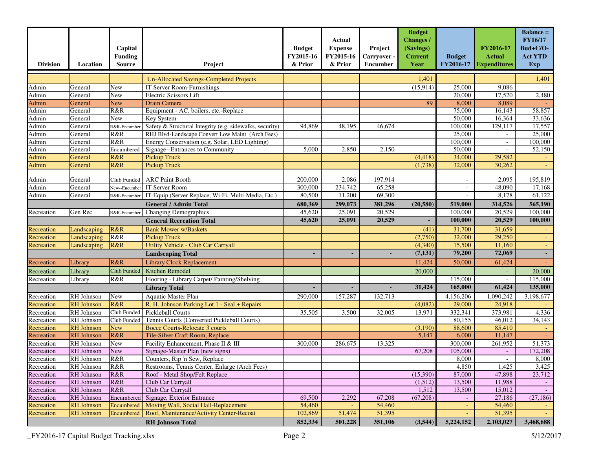| 1,401<br>1,401<br><b>Un-Allocated Savings-Completed Projects</b><br>25,000<br>9,086<br>Admin<br>General<br>New<br>IT Server Room-Furnishings<br>(15,914)<br>Admin<br>Electric Scissors Lift<br>20,000<br>17,520<br>2,480<br>General<br>New<br>89<br>8,000<br>8,089<br>Admin<br><b>New</b><br>Drain Camera<br>General<br>75,000<br>58,857<br>R&R<br>Equipment - AC, boilers, etc.-Replace<br>16,143<br>Admin<br>General<br>50,000<br>Admin<br><b>New</b><br>16,364<br>33,636<br>General<br>Key System<br>17,557<br>Admin<br>94,869<br>48,195<br>46,674<br>100,000<br>129,117<br>General<br>Safety & Structural Integrity (e.g. sidewalks, security)<br>R&R-Encumber<br>R&R<br>RHJ Blvd-Landscape Convert Low Maint (Arch Fees)<br>25,000<br>25,000<br>Admin<br>General<br>Admin<br>R&R<br>Energy Conservation (e.g. Solar, LED Lighting)<br>100,000<br>$\overline{100,000}$<br>General<br>$\overline{\phantom{a}}$<br>52,150<br>Admin<br>Signage--Entrances to Community<br>5,000<br>2,850<br>2,150<br>50,000<br>General<br>Encumbered<br>Admin<br><b>Pickup Truck</b><br>34,000<br>29,582<br>General<br>R&R<br>(4, 418)<br>32,000<br>R&R<br>(1,738)<br>30,262<br>Admin<br><b>Pickup Truck</b><br>General<br>197,914<br>2,095<br>195,819<br>Club Funded   ARC Paint Booth<br>200,000<br>2,086<br>Admin<br>General<br>$\blacksquare$<br>234,742<br>Admin<br><b>IT Server Room</b><br>300,000<br>65,258<br>48,090<br>17,168<br>General<br>New--Encumber<br>$\overline{\phantom{a}}$<br>Admin<br>80,500<br>11,200<br>69,300<br>61,122<br>General<br>IT-Equip (Server Replace, Wi-Fi, Multi-Media, Etc.)<br>8,178<br>R&R-Encumber<br>$\overline{\phantom{a}}$<br>299,073<br>381,296<br>565,190<br><b>General / Admin Total</b><br>680,369<br>(20, 580)<br>519,000<br>314,526<br>25,091<br>20,529<br>20,529<br>100,000<br>45,620<br>100,000<br>Recreation<br>Gen Rec<br>Changing Demographics<br>R&R-Encumber<br>20,529<br>45,620<br>25,091<br>20,529<br>100,000<br>100,000<br><b>General Recreation Total</b><br>R&R<br><b>Bank Mower w/Baskets</b><br>(41)<br>31,700<br>31,659<br>Landscaping<br>Recreation<br>R&R<br>29,250<br>Recreation<br><b>Pickup Truck</b><br>(2,750)<br>32,000<br>Landscaping<br><b>Utility Vehicle - Club Car Carryall</b><br>(4,340)<br>15,500<br>11,160<br>Landscaping<br>R&R<br>Recreation<br>79,200<br>72,069<br>(7, 131)<br><b>Landscaping Total</b><br>٠<br>R&R<br><b>Library Clock Replacement</b><br>11,424<br>50,000<br>61,424<br>Recreation<br>Library<br>Kitchen Remodel<br><b>Club Funded</b><br>20,000<br>Recreation<br>20,000<br>Library<br>Flooring - Library Carpet/ Painting/Shelving<br>R&R<br>115,000<br>115,000<br>Recreation<br>Library<br>31,424<br>165,000<br>61,424<br>135,000<br><b>Library Total</b><br>RH Johnson<br><b>New</b><br>Aquatic Master Plan<br>157,287<br>1,090,242<br>3,198,677<br>290,000<br>132,713<br>4,156,206<br>Recreation<br><b>RH</b> Johnson<br>R&R<br>29,000<br>24,918<br>R. H. Johnson Parking Lot 1 - Seal + Repairs<br>(4,082)<br>332,341<br>RH Johnson<br>Club Funded<br>Pickleball Courts<br>35,505<br>3,500<br>32,005<br>13,971<br>373,981<br>4,336<br>RH Johnson<br>Club Funded<br>Tennis Courts (Converted Pickleball Courts)<br>80,155<br>46,012<br>34,143<br>85,410<br><b>RH</b> Johnson<br>88,600<br><b>New</b><br><b>Bocce Courts-Relocate 3 courts</b><br>(3,190)<br><b>RH</b> Johnson<br>R&R<br>Recreation<br>Tile-Silver Craft Room, Replace<br>5,147<br>6,000<br>11,147<br>261,952<br>RH Johnson<br>Facility Enhancement, Phase II & III<br>13,325<br>300,000<br>51,373<br>Recreation<br>New<br>300,000<br>286,675<br>Recreation<br>RH Johnson<br><b>New</b><br>172,208<br>Signage-Master Plan (new signs)<br>67,208<br>105,000<br>$\omega$<br>8,000<br>8,000<br>Recreation<br>RH Johnson<br>R&R<br>Counters, Rip 'n Sew, Replace<br>RH Johnson<br>Recreation<br>R&R<br>Restrooms, Tennis Center, Enlarge (Arch Fees)<br>4,850<br>1,425<br>3,425<br>87,000<br>47,898<br>23,712<br>Recreation<br>RH Johnson<br>R&R<br>(15,390)<br>Roof - Metal Shop/Felt Replace<br>RH Johnson<br>R&R<br>13,500<br>11,988<br>Recreation<br>Club Car Carryall<br>(1,512)<br>RH Johnson<br>R&R<br>Club Car Carryall<br>Recreation<br>1,512<br>13,500<br>15,012<br><b>RH</b> Johnson<br>2,292<br>(27, 186)<br>Recreation<br>Encumbered<br>Signage, Exterior Entrance<br>69,500<br>67,208<br>(67,208)<br>27,186<br>$\sim$<br>54,460<br>54,460<br>54,460<br><b>RH</b> Johnson<br>Moving Wall, Social Hall-Replacement<br>Recreation<br>Encumbered<br>51,395<br><b>RH</b> Johnson<br>Encumbered<br>Roof, Maintenance/Activity Center-Recoat<br>102,869<br>51,474<br>51,395<br>Recreation<br>5,224,152<br>852,334<br>501,228<br>351,106<br>(3,544)<br>2,103,027<br>3,468,688<br><b>RH Johnson Total</b> | <b>Division</b> | Location | Capital<br><b>Funding</b><br><b>Source</b> | Project | <b>Budget</b><br>FY2015-16<br>& Prior | Actual<br><b>Expense</b><br>FY2015-16<br>& Prior | Project<br>Carryover -<br><b>Encumber</b> | <b>Budget</b><br><b>Changes /</b><br>(Savings)<br><b>Current</b><br>Year | <b>Budget</b><br>FY2016-17 | FY2016-17<br><b>Actual</b><br><b>Expenditures</b> | <b>Balance =</b><br><b>FY16/17</b><br>Bud+C/O-<br><b>Act YTD</b><br><b>Exp</b> |
|-----------------------------------------------------------------------------------------------------------------------------------------------------------------------------------------------------------------------------------------------------------------------------------------------------------------------------------------------------------------------------------------------------------------------------------------------------------------------------------------------------------------------------------------------------------------------------------------------------------------------------------------------------------------------------------------------------------------------------------------------------------------------------------------------------------------------------------------------------------------------------------------------------------------------------------------------------------------------------------------------------------------------------------------------------------------------------------------------------------------------------------------------------------------------------------------------------------------------------------------------------------------------------------------------------------------------------------------------------------------------------------------------------------------------------------------------------------------------------------------------------------------------------------------------------------------------------------------------------------------------------------------------------------------------------------------------------------------------------------------------------------------------------------------------------------------------------------------------------------------------------------------------------------------------------------------------------------------------------------------------------------------------------------------------------------------------------------------------------------------------------------------------------------------------------------------------------------------------------------------------------------------------------------------------------------------------------------------------------------------------------------------------------------------------------------------------------------------------------------------------------------------------------------------------------------------------------------------------------------------------------------------------------------------------------------------------------------------------------------------------------------------------------------------------------------------------------------------------------------------------------------------------------------------------------------------------------------------------------------------------------------------------------------------------------------------------------------------------------------------------------------------------------------------------------------------------------------------------------------------------------------------------------------------------------------------------------------------------------------------------------------------------------------------------------------------------------------------------------------------------------------------------------------------------------------------------------------------------------------------------------------------------------------------------------------------------------------------------------------------------------------------------------------------------------------------------------------------------------------------------------------------------------------------------------------------------------------------------------------------------------------------------------------------------------------------------------------------------------------------------------------------------------------------------------------------------------------------------------------------------------------------------------------------------------------------------------------------------------------------------------------------------------------------------------------------------------------------------------------------------------------------------------------------------------------------------------------------------------------------------------------------------------------------------------------------------------------------------------------------------------------------------|-----------------|----------|--------------------------------------------|---------|---------------------------------------|--------------------------------------------------|-------------------------------------------|--------------------------------------------------------------------------|----------------------------|---------------------------------------------------|--------------------------------------------------------------------------------|
|                                                                                                                                                                                                                                                                                                                                                                                                                                                                                                                                                                                                                                                                                                                                                                                                                                                                                                                                                                                                                                                                                                                                                                                                                                                                                                                                                                                                                                                                                                                                                                                                                                                                                                                                                                                                                                                                                                                                                                                                                                                                                                                                                                                                                                                                                                                                                                                                                                                                                                                                                                                                                                                                                                                                                                                                                                                                                                                                                                                                                                                                                                                                                                                                                                                                                                                                                                                                                                                                                                                                                                                                                                                                                                                                                                                                                                                                                                                                                                                                                                                                                                                                                                                                                                                                                                                                                                                                                                                                                                                                                                                                                                                                                                                                                                       |                 |          |                                            |         |                                       |                                                  |                                           |                                                                          |                            |                                                   |                                                                                |
|                                                                                                                                                                                                                                                                                                                                                                                                                                                                                                                                                                                                                                                                                                                                                                                                                                                                                                                                                                                                                                                                                                                                                                                                                                                                                                                                                                                                                                                                                                                                                                                                                                                                                                                                                                                                                                                                                                                                                                                                                                                                                                                                                                                                                                                                                                                                                                                                                                                                                                                                                                                                                                                                                                                                                                                                                                                                                                                                                                                                                                                                                                                                                                                                                                                                                                                                                                                                                                                                                                                                                                                                                                                                                                                                                                                                                                                                                                                                                                                                                                                                                                                                                                                                                                                                                                                                                                                                                                                                                                                                                                                                                                                                                                                                                                       |                 |          |                                            |         |                                       |                                                  |                                           |                                                                          |                            |                                                   |                                                                                |
|                                                                                                                                                                                                                                                                                                                                                                                                                                                                                                                                                                                                                                                                                                                                                                                                                                                                                                                                                                                                                                                                                                                                                                                                                                                                                                                                                                                                                                                                                                                                                                                                                                                                                                                                                                                                                                                                                                                                                                                                                                                                                                                                                                                                                                                                                                                                                                                                                                                                                                                                                                                                                                                                                                                                                                                                                                                                                                                                                                                                                                                                                                                                                                                                                                                                                                                                                                                                                                                                                                                                                                                                                                                                                                                                                                                                                                                                                                                                                                                                                                                                                                                                                                                                                                                                                                                                                                                                                                                                                                                                                                                                                                                                                                                                                                       |                 |          |                                            |         |                                       |                                                  |                                           |                                                                          |                            |                                                   |                                                                                |
|                                                                                                                                                                                                                                                                                                                                                                                                                                                                                                                                                                                                                                                                                                                                                                                                                                                                                                                                                                                                                                                                                                                                                                                                                                                                                                                                                                                                                                                                                                                                                                                                                                                                                                                                                                                                                                                                                                                                                                                                                                                                                                                                                                                                                                                                                                                                                                                                                                                                                                                                                                                                                                                                                                                                                                                                                                                                                                                                                                                                                                                                                                                                                                                                                                                                                                                                                                                                                                                                                                                                                                                                                                                                                                                                                                                                                                                                                                                                                                                                                                                                                                                                                                                                                                                                                                                                                                                                                                                                                                                                                                                                                                                                                                                                                                       |                 |          |                                            |         |                                       |                                                  |                                           |                                                                          |                            |                                                   |                                                                                |
|                                                                                                                                                                                                                                                                                                                                                                                                                                                                                                                                                                                                                                                                                                                                                                                                                                                                                                                                                                                                                                                                                                                                                                                                                                                                                                                                                                                                                                                                                                                                                                                                                                                                                                                                                                                                                                                                                                                                                                                                                                                                                                                                                                                                                                                                                                                                                                                                                                                                                                                                                                                                                                                                                                                                                                                                                                                                                                                                                                                                                                                                                                                                                                                                                                                                                                                                                                                                                                                                                                                                                                                                                                                                                                                                                                                                                                                                                                                                                                                                                                                                                                                                                                                                                                                                                                                                                                                                                                                                                                                                                                                                                                                                                                                                                                       |                 |          |                                            |         |                                       |                                                  |                                           |                                                                          |                            |                                                   |                                                                                |
|                                                                                                                                                                                                                                                                                                                                                                                                                                                                                                                                                                                                                                                                                                                                                                                                                                                                                                                                                                                                                                                                                                                                                                                                                                                                                                                                                                                                                                                                                                                                                                                                                                                                                                                                                                                                                                                                                                                                                                                                                                                                                                                                                                                                                                                                                                                                                                                                                                                                                                                                                                                                                                                                                                                                                                                                                                                                                                                                                                                                                                                                                                                                                                                                                                                                                                                                                                                                                                                                                                                                                                                                                                                                                                                                                                                                                                                                                                                                                                                                                                                                                                                                                                                                                                                                                                                                                                                                                                                                                                                                                                                                                                                                                                                                                                       |                 |          |                                            |         |                                       |                                                  |                                           |                                                                          |                            |                                                   |                                                                                |
|                                                                                                                                                                                                                                                                                                                                                                                                                                                                                                                                                                                                                                                                                                                                                                                                                                                                                                                                                                                                                                                                                                                                                                                                                                                                                                                                                                                                                                                                                                                                                                                                                                                                                                                                                                                                                                                                                                                                                                                                                                                                                                                                                                                                                                                                                                                                                                                                                                                                                                                                                                                                                                                                                                                                                                                                                                                                                                                                                                                                                                                                                                                                                                                                                                                                                                                                                                                                                                                                                                                                                                                                                                                                                                                                                                                                                                                                                                                                                                                                                                                                                                                                                                                                                                                                                                                                                                                                                                                                                                                                                                                                                                                                                                                                                                       |                 |          |                                            |         |                                       |                                                  |                                           |                                                                          |                            |                                                   |                                                                                |
|                                                                                                                                                                                                                                                                                                                                                                                                                                                                                                                                                                                                                                                                                                                                                                                                                                                                                                                                                                                                                                                                                                                                                                                                                                                                                                                                                                                                                                                                                                                                                                                                                                                                                                                                                                                                                                                                                                                                                                                                                                                                                                                                                                                                                                                                                                                                                                                                                                                                                                                                                                                                                                                                                                                                                                                                                                                                                                                                                                                                                                                                                                                                                                                                                                                                                                                                                                                                                                                                                                                                                                                                                                                                                                                                                                                                                                                                                                                                                                                                                                                                                                                                                                                                                                                                                                                                                                                                                                                                                                                                                                                                                                                                                                                                                                       |                 |          |                                            |         |                                       |                                                  |                                           |                                                                          |                            |                                                   |                                                                                |
|                                                                                                                                                                                                                                                                                                                                                                                                                                                                                                                                                                                                                                                                                                                                                                                                                                                                                                                                                                                                                                                                                                                                                                                                                                                                                                                                                                                                                                                                                                                                                                                                                                                                                                                                                                                                                                                                                                                                                                                                                                                                                                                                                                                                                                                                                                                                                                                                                                                                                                                                                                                                                                                                                                                                                                                                                                                                                                                                                                                                                                                                                                                                                                                                                                                                                                                                                                                                                                                                                                                                                                                                                                                                                                                                                                                                                                                                                                                                                                                                                                                                                                                                                                                                                                                                                                                                                                                                                                                                                                                                                                                                                                                                                                                                                                       |                 |          |                                            |         |                                       |                                                  |                                           |                                                                          |                            |                                                   |                                                                                |
|                                                                                                                                                                                                                                                                                                                                                                                                                                                                                                                                                                                                                                                                                                                                                                                                                                                                                                                                                                                                                                                                                                                                                                                                                                                                                                                                                                                                                                                                                                                                                                                                                                                                                                                                                                                                                                                                                                                                                                                                                                                                                                                                                                                                                                                                                                                                                                                                                                                                                                                                                                                                                                                                                                                                                                                                                                                                                                                                                                                                                                                                                                                                                                                                                                                                                                                                                                                                                                                                                                                                                                                                                                                                                                                                                                                                                                                                                                                                                                                                                                                                                                                                                                                                                                                                                                                                                                                                                                                                                                                                                                                                                                                                                                                                                                       |                 |          |                                            |         |                                       |                                                  |                                           |                                                                          |                            |                                                   |                                                                                |
|                                                                                                                                                                                                                                                                                                                                                                                                                                                                                                                                                                                                                                                                                                                                                                                                                                                                                                                                                                                                                                                                                                                                                                                                                                                                                                                                                                                                                                                                                                                                                                                                                                                                                                                                                                                                                                                                                                                                                                                                                                                                                                                                                                                                                                                                                                                                                                                                                                                                                                                                                                                                                                                                                                                                                                                                                                                                                                                                                                                                                                                                                                                                                                                                                                                                                                                                                                                                                                                                                                                                                                                                                                                                                                                                                                                                                                                                                                                                                                                                                                                                                                                                                                                                                                                                                                                                                                                                                                                                                                                                                                                                                                                                                                                                                                       |                 |          |                                            |         |                                       |                                                  |                                           |                                                                          |                            |                                                   |                                                                                |
|                                                                                                                                                                                                                                                                                                                                                                                                                                                                                                                                                                                                                                                                                                                                                                                                                                                                                                                                                                                                                                                                                                                                                                                                                                                                                                                                                                                                                                                                                                                                                                                                                                                                                                                                                                                                                                                                                                                                                                                                                                                                                                                                                                                                                                                                                                                                                                                                                                                                                                                                                                                                                                                                                                                                                                                                                                                                                                                                                                                                                                                                                                                                                                                                                                                                                                                                                                                                                                                                                                                                                                                                                                                                                                                                                                                                                                                                                                                                                                                                                                                                                                                                                                                                                                                                                                                                                                                                                                                                                                                                                                                                                                                                                                                                                                       |                 |          |                                            |         |                                       |                                                  |                                           |                                                                          |                            |                                                   |                                                                                |
|                                                                                                                                                                                                                                                                                                                                                                                                                                                                                                                                                                                                                                                                                                                                                                                                                                                                                                                                                                                                                                                                                                                                                                                                                                                                                                                                                                                                                                                                                                                                                                                                                                                                                                                                                                                                                                                                                                                                                                                                                                                                                                                                                                                                                                                                                                                                                                                                                                                                                                                                                                                                                                                                                                                                                                                                                                                                                                                                                                                                                                                                                                                                                                                                                                                                                                                                                                                                                                                                                                                                                                                                                                                                                                                                                                                                                                                                                                                                                                                                                                                                                                                                                                                                                                                                                                                                                                                                                                                                                                                                                                                                                                                                                                                                                                       |                 |          |                                            |         |                                       |                                                  |                                           |                                                                          |                            |                                                   |                                                                                |
|                                                                                                                                                                                                                                                                                                                                                                                                                                                                                                                                                                                                                                                                                                                                                                                                                                                                                                                                                                                                                                                                                                                                                                                                                                                                                                                                                                                                                                                                                                                                                                                                                                                                                                                                                                                                                                                                                                                                                                                                                                                                                                                                                                                                                                                                                                                                                                                                                                                                                                                                                                                                                                                                                                                                                                                                                                                                                                                                                                                                                                                                                                                                                                                                                                                                                                                                                                                                                                                                                                                                                                                                                                                                                                                                                                                                                                                                                                                                                                                                                                                                                                                                                                                                                                                                                                                                                                                                                                                                                                                                                                                                                                                                                                                                                                       |                 |          |                                            |         |                                       |                                                  |                                           |                                                                          |                            |                                                   |                                                                                |
|                                                                                                                                                                                                                                                                                                                                                                                                                                                                                                                                                                                                                                                                                                                                                                                                                                                                                                                                                                                                                                                                                                                                                                                                                                                                                                                                                                                                                                                                                                                                                                                                                                                                                                                                                                                                                                                                                                                                                                                                                                                                                                                                                                                                                                                                                                                                                                                                                                                                                                                                                                                                                                                                                                                                                                                                                                                                                                                                                                                                                                                                                                                                                                                                                                                                                                                                                                                                                                                                                                                                                                                                                                                                                                                                                                                                                                                                                                                                                                                                                                                                                                                                                                                                                                                                                                                                                                                                                                                                                                                                                                                                                                                                                                                                                                       |                 |          |                                            |         |                                       |                                                  |                                           |                                                                          |                            |                                                   |                                                                                |
|                                                                                                                                                                                                                                                                                                                                                                                                                                                                                                                                                                                                                                                                                                                                                                                                                                                                                                                                                                                                                                                                                                                                                                                                                                                                                                                                                                                                                                                                                                                                                                                                                                                                                                                                                                                                                                                                                                                                                                                                                                                                                                                                                                                                                                                                                                                                                                                                                                                                                                                                                                                                                                                                                                                                                                                                                                                                                                                                                                                                                                                                                                                                                                                                                                                                                                                                                                                                                                                                                                                                                                                                                                                                                                                                                                                                                                                                                                                                                                                                                                                                                                                                                                                                                                                                                                                                                                                                                                                                                                                                                                                                                                                                                                                                                                       |                 |          |                                            |         |                                       |                                                  |                                           |                                                                          |                            |                                                   |                                                                                |
|                                                                                                                                                                                                                                                                                                                                                                                                                                                                                                                                                                                                                                                                                                                                                                                                                                                                                                                                                                                                                                                                                                                                                                                                                                                                                                                                                                                                                                                                                                                                                                                                                                                                                                                                                                                                                                                                                                                                                                                                                                                                                                                                                                                                                                                                                                                                                                                                                                                                                                                                                                                                                                                                                                                                                                                                                                                                                                                                                                                                                                                                                                                                                                                                                                                                                                                                                                                                                                                                                                                                                                                                                                                                                                                                                                                                                                                                                                                                                                                                                                                                                                                                                                                                                                                                                                                                                                                                                                                                                                                                                                                                                                                                                                                                                                       |                 |          |                                            |         |                                       |                                                  |                                           |                                                                          |                            |                                                   |                                                                                |
|                                                                                                                                                                                                                                                                                                                                                                                                                                                                                                                                                                                                                                                                                                                                                                                                                                                                                                                                                                                                                                                                                                                                                                                                                                                                                                                                                                                                                                                                                                                                                                                                                                                                                                                                                                                                                                                                                                                                                                                                                                                                                                                                                                                                                                                                                                                                                                                                                                                                                                                                                                                                                                                                                                                                                                                                                                                                                                                                                                                                                                                                                                                                                                                                                                                                                                                                                                                                                                                                                                                                                                                                                                                                                                                                                                                                                                                                                                                                                                                                                                                                                                                                                                                                                                                                                                                                                                                                                                                                                                                                                                                                                                                                                                                                                                       |                 |          |                                            |         |                                       |                                                  |                                           |                                                                          |                            |                                                   |                                                                                |
|                                                                                                                                                                                                                                                                                                                                                                                                                                                                                                                                                                                                                                                                                                                                                                                                                                                                                                                                                                                                                                                                                                                                                                                                                                                                                                                                                                                                                                                                                                                                                                                                                                                                                                                                                                                                                                                                                                                                                                                                                                                                                                                                                                                                                                                                                                                                                                                                                                                                                                                                                                                                                                                                                                                                                                                                                                                                                                                                                                                                                                                                                                                                                                                                                                                                                                                                                                                                                                                                                                                                                                                                                                                                                                                                                                                                                                                                                                                                                                                                                                                                                                                                                                                                                                                                                                                                                                                                                                                                                                                                                                                                                                                                                                                                                                       |                 |          |                                            |         |                                       |                                                  |                                           |                                                                          |                            |                                                   |                                                                                |
|                                                                                                                                                                                                                                                                                                                                                                                                                                                                                                                                                                                                                                                                                                                                                                                                                                                                                                                                                                                                                                                                                                                                                                                                                                                                                                                                                                                                                                                                                                                                                                                                                                                                                                                                                                                                                                                                                                                                                                                                                                                                                                                                                                                                                                                                                                                                                                                                                                                                                                                                                                                                                                                                                                                                                                                                                                                                                                                                                                                                                                                                                                                                                                                                                                                                                                                                                                                                                                                                                                                                                                                                                                                                                                                                                                                                                                                                                                                                                                                                                                                                                                                                                                                                                                                                                                                                                                                                                                                                                                                                                                                                                                                                                                                                                                       |                 |          |                                            |         |                                       |                                                  |                                           |                                                                          |                            |                                                   |                                                                                |
|                                                                                                                                                                                                                                                                                                                                                                                                                                                                                                                                                                                                                                                                                                                                                                                                                                                                                                                                                                                                                                                                                                                                                                                                                                                                                                                                                                                                                                                                                                                                                                                                                                                                                                                                                                                                                                                                                                                                                                                                                                                                                                                                                                                                                                                                                                                                                                                                                                                                                                                                                                                                                                                                                                                                                                                                                                                                                                                                                                                                                                                                                                                                                                                                                                                                                                                                                                                                                                                                                                                                                                                                                                                                                                                                                                                                                                                                                                                                                                                                                                                                                                                                                                                                                                                                                                                                                                                                                                                                                                                                                                                                                                                                                                                                                                       |                 |          |                                            |         |                                       |                                                  |                                           |                                                                          |                            |                                                   |                                                                                |
|                                                                                                                                                                                                                                                                                                                                                                                                                                                                                                                                                                                                                                                                                                                                                                                                                                                                                                                                                                                                                                                                                                                                                                                                                                                                                                                                                                                                                                                                                                                                                                                                                                                                                                                                                                                                                                                                                                                                                                                                                                                                                                                                                                                                                                                                                                                                                                                                                                                                                                                                                                                                                                                                                                                                                                                                                                                                                                                                                                                                                                                                                                                                                                                                                                                                                                                                                                                                                                                                                                                                                                                                                                                                                                                                                                                                                                                                                                                                                                                                                                                                                                                                                                                                                                                                                                                                                                                                                                                                                                                                                                                                                                                                                                                                                                       |                 |          |                                            |         |                                       |                                                  |                                           |                                                                          |                            |                                                   |                                                                                |
|                                                                                                                                                                                                                                                                                                                                                                                                                                                                                                                                                                                                                                                                                                                                                                                                                                                                                                                                                                                                                                                                                                                                                                                                                                                                                                                                                                                                                                                                                                                                                                                                                                                                                                                                                                                                                                                                                                                                                                                                                                                                                                                                                                                                                                                                                                                                                                                                                                                                                                                                                                                                                                                                                                                                                                                                                                                                                                                                                                                                                                                                                                                                                                                                                                                                                                                                                                                                                                                                                                                                                                                                                                                                                                                                                                                                                                                                                                                                                                                                                                                                                                                                                                                                                                                                                                                                                                                                                                                                                                                                                                                                                                                                                                                                                                       |                 |          |                                            |         |                                       |                                                  |                                           |                                                                          |                            |                                                   |                                                                                |
|                                                                                                                                                                                                                                                                                                                                                                                                                                                                                                                                                                                                                                                                                                                                                                                                                                                                                                                                                                                                                                                                                                                                                                                                                                                                                                                                                                                                                                                                                                                                                                                                                                                                                                                                                                                                                                                                                                                                                                                                                                                                                                                                                                                                                                                                                                                                                                                                                                                                                                                                                                                                                                                                                                                                                                                                                                                                                                                                                                                                                                                                                                                                                                                                                                                                                                                                                                                                                                                                                                                                                                                                                                                                                                                                                                                                                                                                                                                                                                                                                                                                                                                                                                                                                                                                                                                                                                                                                                                                                                                                                                                                                                                                                                                                                                       |                 |          |                                            |         |                                       |                                                  |                                           |                                                                          |                            |                                                   |                                                                                |
|                                                                                                                                                                                                                                                                                                                                                                                                                                                                                                                                                                                                                                                                                                                                                                                                                                                                                                                                                                                                                                                                                                                                                                                                                                                                                                                                                                                                                                                                                                                                                                                                                                                                                                                                                                                                                                                                                                                                                                                                                                                                                                                                                                                                                                                                                                                                                                                                                                                                                                                                                                                                                                                                                                                                                                                                                                                                                                                                                                                                                                                                                                                                                                                                                                                                                                                                                                                                                                                                                                                                                                                                                                                                                                                                                                                                                                                                                                                                                                                                                                                                                                                                                                                                                                                                                                                                                                                                                                                                                                                                                                                                                                                                                                                                                                       |                 |          |                                            |         |                                       |                                                  |                                           |                                                                          |                            |                                                   |                                                                                |
|                                                                                                                                                                                                                                                                                                                                                                                                                                                                                                                                                                                                                                                                                                                                                                                                                                                                                                                                                                                                                                                                                                                                                                                                                                                                                                                                                                                                                                                                                                                                                                                                                                                                                                                                                                                                                                                                                                                                                                                                                                                                                                                                                                                                                                                                                                                                                                                                                                                                                                                                                                                                                                                                                                                                                                                                                                                                                                                                                                                                                                                                                                                                                                                                                                                                                                                                                                                                                                                                                                                                                                                                                                                                                                                                                                                                                                                                                                                                                                                                                                                                                                                                                                                                                                                                                                                                                                                                                                                                                                                                                                                                                                                                                                                                                                       |                 |          |                                            |         |                                       |                                                  |                                           |                                                                          |                            |                                                   |                                                                                |
|                                                                                                                                                                                                                                                                                                                                                                                                                                                                                                                                                                                                                                                                                                                                                                                                                                                                                                                                                                                                                                                                                                                                                                                                                                                                                                                                                                                                                                                                                                                                                                                                                                                                                                                                                                                                                                                                                                                                                                                                                                                                                                                                                                                                                                                                                                                                                                                                                                                                                                                                                                                                                                                                                                                                                                                                                                                                                                                                                                                                                                                                                                                                                                                                                                                                                                                                                                                                                                                                                                                                                                                                                                                                                                                                                                                                                                                                                                                                                                                                                                                                                                                                                                                                                                                                                                                                                                                                                                                                                                                                                                                                                                                                                                                                                                       |                 |          |                                            |         |                                       |                                                  |                                           |                                                                          |                            |                                                   |                                                                                |
|                                                                                                                                                                                                                                                                                                                                                                                                                                                                                                                                                                                                                                                                                                                                                                                                                                                                                                                                                                                                                                                                                                                                                                                                                                                                                                                                                                                                                                                                                                                                                                                                                                                                                                                                                                                                                                                                                                                                                                                                                                                                                                                                                                                                                                                                                                                                                                                                                                                                                                                                                                                                                                                                                                                                                                                                                                                                                                                                                                                                                                                                                                                                                                                                                                                                                                                                                                                                                                                                                                                                                                                                                                                                                                                                                                                                                                                                                                                                                                                                                                                                                                                                                                                                                                                                                                                                                                                                                                                                                                                                                                                                                                                                                                                                                                       | Recreation      |          |                                            |         |                                       |                                                  |                                           |                                                                          |                            |                                                   |                                                                                |
|                                                                                                                                                                                                                                                                                                                                                                                                                                                                                                                                                                                                                                                                                                                                                                                                                                                                                                                                                                                                                                                                                                                                                                                                                                                                                                                                                                                                                                                                                                                                                                                                                                                                                                                                                                                                                                                                                                                                                                                                                                                                                                                                                                                                                                                                                                                                                                                                                                                                                                                                                                                                                                                                                                                                                                                                                                                                                                                                                                                                                                                                                                                                                                                                                                                                                                                                                                                                                                                                                                                                                                                                                                                                                                                                                                                                                                                                                                                                                                                                                                                                                                                                                                                                                                                                                                                                                                                                                                                                                                                                                                                                                                                                                                                                                                       |                 |          |                                            |         |                                       |                                                  |                                           |                                                                          |                            |                                                   |                                                                                |
|                                                                                                                                                                                                                                                                                                                                                                                                                                                                                                                                                                                                                                                                                                                                                                                                                                                                                                                                                                                                                                                                                                                                                                                                                                                                                                                                                                                                                                                                                                                                                                                                                                                                                                                                                                                                                                                                                                                                                                                                                                                                                                                                                                                                                                                                                                                                                                                                                                                                                                                                                                                                                                                                                                                                                                                                                                                                                                                                                                                                                                                                                                                                                                                                                                                                                                                                                                                                                                                                                                                                                                                                                                                                                                                                                                                                                                                                                                                                                                                                                                                                                                                                                                                                                                                                                                                                                                                                                                                                                                                                                                                                                                                                                                                                                                       | Recreation      |          |                                            |         |                                       |                                                  |                                           |                                                                          |                            |                                                   |                                                                                |
|                                                                                                                                                                                                                                                                                                                                                                                                                                                                                                                                                                                                                                                                                                                                                                                                                                                                                                                                                                                                                                                                                                                                                                                                                                                                                                                                                                                                                                                                                                                                                                                                                                                                                                                                                                                                                                                                                                                                                                                                                                                                                                                                                                                                                                                                                                                                                                                                                                                                                                                                                                                                                                                                                                                                                                                                                                                                                                                                                                                                                                                                                                                                                                                                                                                                                                                                                                                                                                                                                                                                                                                                                                                                                                                                                                                                                                                                                                                                                                                                                                                                                                                                                                                                                                                                                                                                                                                                                                                                                                                                                                                                                                                                                                                                                                       | Recreation      |          |                                            |         |                                       |                                                  |                                           |                                                                          |                            |                                                   |                                                                                |
|                                                                                                                                                                                                                                                                                                                                                                                                                                                                                                                                                                                                                                                                                                                                                                                                                                                                                                                                                                                                                                                                                                                                                                                                                                                                                                                                                                                                                                                                                                                                                                                                                                                                                                                                                                                                                                                                                                                                                                                                                                                                                                                                                                                                                                                                                                                                                                                                                                                                                                                                                                                                                                                                                                                                                                                                                                                                                                                                                                                                                                                                                                                                                                                                                                                                                                                                                                                                                                                                                                                                                                                                                                                                                                                                                                                                                                                                                                                                                                                                                                                                                                                                                                                                                                                                                                                                                                                                                                                                                                                                                                                                                                                                                                                                                                       | Recreation      |          |                                            |         |                                       |                                                  |                                           |                                                                          |                            |                                                   |                                                                                |
|                                                                                                                                                                                                                                                                                                                                                                                                                                                                                                                                                                                                                                                                                                                                                                                                                                                                                                                                                                                                                                                                                                                                                                                                                                                                                                                                                                                                                                                                                                                                                                                                                                                                                                                                                                                                                                                                                                                                                                                                                                                                                                                                                                                                                                                                                                                                                                                                                                                                                                                                                                                                                                                                                                                                                                                                                                                                                                                                                                                                                                                                                                                                                                                                                                                                                                                                                                                                                                                                                                                                                                                                                                                                                                                                                                                                                                                                                                                                                                                                                                                                                                                                                                                                                                                                                                                                                                                                                                                                                                                                                                                                                                                                                                                                                                       |                 |          |                                            |         |                                       |                                                  |                                           |                                                                          |                            |                                                   |                                                                                |
|                                                                                                                                                                                                                                                                                                                                                                                                                                                                                                                                                                                                                                                                                                                                                                                                                                                                                                                                                                                                                                                                                                                                                                                                                                                                                                                                                                                                                                                                                                                                                                                                                                                                                                                                                                                                                                                                                                                                                                                                                                                                                                                                                                                                                                                                                                                                                                                                                                                                                                                                                                                                                                                                                                                                                                                                                                                                                                                                                                                                                                                                                                                                                                                                                                                                                                                                                                                                                                                                                                                                                                                                                                                                                                                                                                                                                                                                                                                                                                                                                                                                                                                                                                                                                                                                                                                                                                                                                                                                                                                                                                                                                                                                                                                                                                       |                 |          |                                            |         |                                       |                                                  |                                           |                                                                          |                            |                                                   |                                                                                |
|                                                                                                                                                                                                                                                                                                                                                                                                                                                                                                                                                                                                                                                                                                                                                                                                                                                                                                                                                                                                                                                                                                                                                                                                                                                                                                                                                                                                                                                                                                                                                                                                                                                                                                                                                                                                                                                                                                                                                                                                                                                                                                                                                                                                                                                                                                                                                                                                                                                                                                                                                                                                                                                                                                                                                                                                                                                                                                                                                                                                                                                                                                                                                                                                                                                                                                                                                                                                                                                                                                                                                                                                                                                                                                                                                                                                                                                                                                                                                                                                                                                                                                                                                                                                                                                                                                                                                                                                                                                                                                                                                                                                                                                                                                                                                                       |                 |          |                                            |         |                                       |                                                  |                                           |                                                                          |                            |                                                   |                                                                                |
|                                                                                                                                                                                                                                                                                                                                                                                                                                                                                                                                                                                                                                                                                                                                                                                                                                                                                                                                                                                                                                                                                                                                                                                                                                                                                                                                                                                                                                                                                                                                                                                                                                                                                                                                                                                                                                                                                                                                                                                                                                                                                                                                                                                                                                                                                                                                                                                                                                                                                                                                                                                                                                                                                                                                                                                                                                                                                                                                                                                                                                                                                                                                                                                                                                                                                                                                                                                                                                                                                                                                                                                                                                                                                                                                                                                                                                                                                                                                                                                                                                                                                                                                                                                                                                                                                                                                                                                                                                                                                                                                                                                                                                                                                                                                                                       |                 |          |                                            |         |                                       |                                                  |                                           |                                                                          |                            |                                                   |                                                                                |
|                                                                                                                                                                                                                                                                                                                                                                                                                                                                                                                                                                                                                                                                                                                                                                                                                                                                                                                                                                                                                                                                                                                                                                                                                                                                                                                                                                                                                                                                                                                                                                                                                                                                                                                                                                                                                                                                                                                                                                                                                                                                                                                                                                                                                                                                                                                                                                                                                                                                                                                                                                                                                                                                                                                                                                                                                                                                                                                                                                                                                                                                                                                                                                                                                                                                                                                                                                                                                                                                                                                                                                                                                                                                                                                                                                                                                                                                                                                                                                                                                                                                                                                                                                                                                                                                                                                                                                                                                                                                                                                                                                                                                                                                                                                                                                       |                 |          |                                            |         |                                       |                                                  |                                           |                                                                          |                            |                                                   |                                                                                |
|                                                                                                                                                                                                                                                                                                                                                                                                                                                                                                                                                                                                                                                                                                                                                                                                                                                                                                                                                                                                                                                                                                                                                                                                                                                                                                                                                                                                                                                                                                                                                                                                                                                                                                                                                                                                                                                                                                                                                                                                                                                                                                                                                                                                                                                                                                                                                                                                                                                                                                                                                                                                                                                                                                                                                                                                                                                                                                                                                                                                                                                                                                                                                                                                                                                                                                                                                                                                                                                                                                                                                                                                                                                                                                                                                                                                                                                                                                                                                                                                                                                                                                                                                                                                                                                                                                                                                                                                                                                                                                                                                                                                                                                                                                                                                                       |                 |          |                                            |         |                                       |                                                  |                                           |                                                                          |                            |                                                   |                                                                                |
|                                                                                                                                                                                                                                                                                                                                                                                                                                                                                                                                                                                                                                                                                                                                                                                                                                                                                                                                                                                                                                                                                                                                                                                                                                                                                                                                                                                                                                                                                                                                                                                                                                                                                                                                                                                                                                                                                                                                                                                                                                                                                                                                                                                                                                                                                                                                                                                                                                                                                                                                                                                                                                                                                                                                                                                                                                                                                                                                                                                                                                                                                                                                                                                                                                                                                                                                                                                                                                                                                                                                                                                                                                                                                                                                                                                                                                                                                                                                                                                                                                                                                                                                                                                                                                                                                                                                                                                                                                                                                                                                                                                                                                                                                                                                                                       |                 |          |                                            |         |                                       |                                                  |                                           |                                                                          |                            |                                                   |                                                                                |
|                                                                                                                                                                                                                                                                                                                                                                                                                                                                                                                                                                                                                                                                                                                                                                                                                                                                                                                                                                                                                                                                                                                                                                                                                                                                                                                                                                                                                                                                                                                                                                                                                                                                                                                                                                                                                                                                                                                                                                                                                                                                                                                                                                                                                                                                                                                                                                                                                                                                                                                                                                                                                                                                                                                                                                                                                                                                                                                                                                                                                                                                                                                                                                                                                                                                                                                                                                                                                                                                                                                                                                                                                                                                                                                                                                                                                                                                                                                                                                                                                                                                                                                                                                                                                                                                                                                                                                                                                                                                                                                                                                                                                                                                                                                                                                       |                 |          |                                            |         |                                       |                                                  |                                           |                                                                          |                            |                                                   |                                                                                |
|                                                                                                                                                                                                                                                                                                                                                                                                                                                                                                                                                                                                                                                                                                                                                                                                                                                                                                                                                                                                                                                                                                                                                                                                                                                                                                                                                                                                                                                                                                                                                                                                                                                                                                                                                                                                                                                                                                                                                                                                                                                                                                                                                                                                                                                                                                                                                                                                                                                                                                                                                                                                                                                                                                                                                                                                                                                                                                                                                                                                                                                                                                                                                                                                                                                                                                                                                                                                                                                                                                                                                                                                                                                                                                                                                                                                                                                                                                                                                                                                                                                                                                                                                                                                                                                                                                                                                                                                                                                                                                                                                                                                                                                                                                                                                                       |                 |          |                                            |         |                                       |                                                  |                                           |                                                                          |                            |                                                   |                                                                                |
|                                                                                                                                                                                                                                                                                                                                                                                                                                                                                                                                                                                                                                                                                                                                                                                                                                                                                                                                                                                                                                                                                                                                                                                                                                                                                                                                                                                                                                                                                                                                                                                                                                                                                                                                                                                                                                                                                                                                                                                                                                                                                                                                                                                                                                                                                                                                                                                                                                                                                                                                                                                                                                                                                                                                                                                                                                                                                                                                                                                                                                                                                                                                                                                                                                                                                                                                                                                                                                                                                                                                                                                                                                                                                                                                                                                                                                                                                                                                                                                                                                                                                                                                                                                                                                                                                                                                                                                                                                                                                                                                                                                                                                                                                                                                                                       |                 |          |                                            |         |                                       |                                                  |                                           |                                                                          |                            |                                                   |                                                                                |
|                                                                                                                                                                                                                                                                                                                                                                                                                                                                                                                                                                                                                                                                                                                                                                                                                                                                                                                                                                                                                                                                                                                                                                                                                                                                                                                                                                                                                                                                                                                                                                                                                                                                                                                                                                                                                                                                                                                                                                                                                                                                                                                                                                                                                                                                                                                                                                                                                                                                                                                                                                                                                                                                                                                                                                                                                                                                                                                                                                                                                                                                                                                                                                                                                                                                                                                                                                                                                                                                                                                                                                                                                                                                                                                                                                                                                                                                                                                                                                                                                                                                                                                                                                                                                                                                                                                                                                                                                                                                                                                                                                                                                                                                                                                                                                       |                 |          |                                            |         |                                       |                                                  |                                           |                                                                          |                            |                                                   |                                                                                |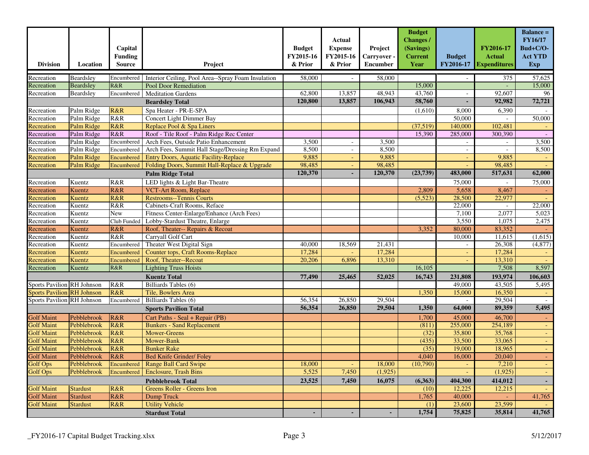| <b>Division</b>                   | Location        | Capital<br><b>Funding</b><br><b>Source</b> | Project                                            | <b>Budget</b><br>FY2015-16<br>& Prior | Actual<br><b>Expense</b><br>FY2015-16<br>& Prior | Project<br>Carryover -<br><b>Encumber</b> | <b>Budget</b><br><b>Changes</b> /<br>(Savings)<br><b>Current</b><br>Year | <b>Budget</b><br>FY2016-17 | FY2016-17<br><b>Actual</b><br><b>Expenditures</b> | <b>Balance =</b><br><b>FY16/17</b><br>Bud+C/O-<br><b>Act YTD</b><br>Exp |
|-----------------------------------|-----------------|--------------------------------------------|----------------------------------------------------|---------------------------------------|--------------------------------------------------|-------------------------------------------|--------------------------------------------------------------------------|----------------------------|---------------------------------------------------|-------------------------------------------------------------------------|
| Recreation                        | Beardsley       | Encumbered                                 | Interior Ceiling, Pool Area--Spray Foam Insulation | 58,000                                |                                                  | 58,000                                    |                                                                          |                            | 375                                               | 57,625                                                                  |
| Recreation                        | Beardsley       | R&R                                        | Pool Door Remediation                              |                                       |                                                  |                                           | 15,000                                                                   |                            |                                                   | 15,000                                                                  |
| Recreation                        | Beardsley       | Encumbered                                 | <b>Meditation Gardens</b>                          | 62,800                                | 13,857                                           | 48,943                                    | 43,760                                                                   | $\overline{\phantom{a}}$   | 92,607                                            | 96                                                                      |
|                                   |                 |                                            | <b>Beardsley Total</b>                             | 120,800                               | 13,857                                           | 106,943                                   | 58,760                                                                   | L,                         | 92,982                                            | 72,721                                                                  |
| Recreation                        | Palm Ridge      | R&R                                        | Spa Heater - PR-E-SPA                              |                                       |                                                  |                                           | (1,610)                                                                  | 8,000                      | 6,390                                             |                                                                         |
| Recreation                        | Palm Ridge      | R&R                                        | <b>Concert Light Dimmer Bay</b>                    |                                       |                                                  |                                           |                                                                          | 50,000                     |                                                   | 50,000                                                                  |
| Recreation                        | Palm Ridge      | R&R                                        | Replace Pool & Spa Liners                          |                                       |                                                  |                                           | (37,519)                                                                 | 140,000                    | 102,481                                           |                                                                         |
| Recreation                        | Palm Ridge      | R&R                                        | Roof - Tile Roof - Palm Ridge Rec Center           |                                       |                                                  |                                           | 15,390                                                                   | 285,000                    | 300,390                                           |                                                                         |
| Recreation                        | Palm Ridge      | Encumbered                                 | Arch Fees, Outside Patio Enhancement               | 3,500                                 | $\overline{\phantom{a}}$                         | 3,500                                     |                                                                          | $\overline{\phantom{a}}$   | $\overline{\phantom{a}}$                          | 3,500                                                                   |
| Recreation                        | Palm Ridge      | Encumbered                                 | Arch Fees, Summit Hall Stage/Dressing Rm Expand    | 8,500                                 | $\overline{\phantom{a}}$                         | 8,500                                     |                                                                          | $\sim$                     |                                                   | 8,500                                                                   |
| Recreation                        | Palm Ridge      | Encumbered                                 | <b>Entry Doors, Aquatic Facility-Replace</b>       | 9,885                                 | $\sim$                                           | 9,885                                     |                                                                          | $\Box$                     | 9,885                                             |                                                                         |
| Recreation                        | Palm Ridge      | Encumbered                                 | Folding Doors, Summit Hall-Replace & Upgrade       | 98,485                                | $\blacksquare$                                   | 98,485                                    |                                                                          |                            | 98,485                                            |                                                                         |
|                                   |                 |                                            | <b>Palm Ridge Total</b>                            | 120,370                               |                                                  | 120,370                                   | (23,739)                                                                 | 483,000                    | 517,631                                           | 62,000                                                                  |
| Recreation                        | Kuentz          | R&R                                        | LED lights & Light Bar-Theatre                     |                                       |                                                  |                                           |                                                                          | 75,000                     |                                                   | 75,000                                                                  |
| Recreation                        | Kuentz          | R&R                                        | VCT-Art Room, Replace                              |                                       |                                                  |                                           | 2,809                                                                    | 5,658                      | 8,467                                             |                                                                         |
| Recreation                        | Kuentz          | R&R                                        | <b>Restrooms--Tennis Courts</b>                    |                                       |                                                  |                                           | (5,523)                                                                  | 28,500                     | 22,977                                            |                                                                         |
| Recreation                        | Kuentz          | R&R                                        | Cabinets-Craft Rooms, Reface                       |                                       |                                                  |                                           |                                                                          | 22,000                     |                                                   | 22,000                                                                  |
| Recreation                        | Kuentz          | New                                        | Fitness Center-Enlarge/Enhance (Arch Fees)         |                                       |                                                  |                                           |                                                                          | 7,100                      | 2,077                                             | 5,023                                                                   |
| Recreation                        | Kuentz          | Club Funded                                | Lobby-Stardust Theatre, Enlarge                    |                                       |                                                  |                                           |                                                                          | 3,550                      | 1,075                                             | 2,475                                                                   |
| Recreation                        | Kuentz          | R&R                                        | Roof, Theater-- Repairs & Recoat                   |                                       |                                                  |                                           | 3,352                                                                    | 80,000                     | 83,352                                            |                                                                         |
| Recreation                        | Kuentz          | R&R                                        | Carryall Golf Cart                                 |                                       |                                                  |                                           |                                                                          | 10,000                     | 11,615                                            | (1,615)                                                                 |
| Recreation                        | Kuentz          | Encumbered                                 | Theater West Digital Sign                          | 40,000                                | 18,569                                           | 21,431                                    |                                                                          | $\blacksquare$             | 26,308                                            | (4, 877)                                                                |
| Recreation                        | Kuentz          | Encumbered                                 | Counter tops, Craft Rooms-Replace                  | 17,284                                |                                                  | 17,284                                    |                                                                          | $\blacksquare$             | 17,284                                            |                                                                         |
| Recreation                        | Kuentz          | Encumbered                                 | Roof, Theater--Recoat                              | 20,206                                | 6,896                                            | 13,310                                    |                                                                          |                            | 13,310                                            |                                                                         |
| Recreation                        | Kuentz          | R&R                                        | <b>Lighting Truss Hoists</b>                       |                                       |                                                  |                                           | 16,105                                                                   |                            | 7,508                                             | 8,597                                                                   |
|                                   |                 |                                            | <b>Kuentz Total</b>                                | 77,490                                | 25,465                                           | 52,025                                    | 16,743                                                                   | 231,808                    | 193,974                                           | 106,603                                                                 |
| <b>Sports Pavilion RH Johnson</b> |                 | R&R                                        | Billiards Tables (6)                               |                                       |                                                  |                                           |                                                                          | 49,000                     | 43,505                                            | 5,495                                                                   |
| <b>Sports Pavilion RH Johnson</b> |                 | R&R                                        | Tile, Bowlers Area                                 |                                       |                                                  |                                           | 1,350                                                                    | 15,000                     | 16,350                                            |                                                                         |
| Sports Pavilion RH Johnson        |                 | Encumbered                                 | Billiards Tables (6)                               | 56,354                                | 26,850                                           | 29,504                                    |                                                                          | $\sim$                     | 29,504                                            |                                                                         |
|                                   |                 |                                            | <b>Sports Pavilion Total</b>                       | 56,354                                | 26,850                                           | 29,504                                    | 1,350                                                                    | 64,000                     | 89,359                                            | 5,495                                                                   |
| <b>Golf Maint</b>                 | Pebblebrook     | R&R                                        | Cart Paths - Seal + Repair (PB)                    |                                       |                                                  |                                           | 1,700                                                                    | 45,000                     | 46,700                                            |                                                                         |
| <b>Golf Maint</b>                 | Pebblebrook     | R&R                                        | <b>Bunkers - Sand Replacement</b>                  |                                       |                                                  |                                           | (811)                                                                    | 255,000                    | 254,189                                           | $\equiv$                                                                |
| <b>Golf Maint</b>                 | Pebblebrook     | R&R                                        | Mower-Greens                                       |                                       |                                                  |                                           | (32)                                                                     | 35,800                     | 35,768                                            | $\blacksquare$                                                          |
| <b>Golf Maint</b>                 | Pebblebrook     | R&R                                        | Mower-Bank                                         |                                       |                                                  |                                           | (435)                                                                    | 33,500                     | 33,065                                            | $\omega$                                                                |
| <b>Golf Maint</b>                 | Pebblebrook     | R&R                                        | <b>Bunker Rake</b>                                 |                                       |                                                  |                                           | (35)                                                                     | 19,000                     | 18,965                                            | $\omega$                                                                |
| <b>Golf Maint</b>                 | Pebblebrook     | R&R                                        | <b>Bed Knife Grinder/ Foley</b>                    |                                       |                                                  |                                           | 4,040                                                                    | 16,000                     | 20,040                                            |                                                                         |
| <b>Golf Ops</b>                   | Pebblebrook     | Encumbered                                 | <b>Range Ball Card Swipe</b>                       | 18,000                                | $\omega$                                         | 18,000                                    | (10,790)                                                                 | $\equiv$                   | 7,210                                             |                                                                         |
| <b>Golf Ops</b>                   | Pebblebrook     | Encumbered                                 | <b>Enclosure, Trash Bins</b>                       | 5,525                                 | 7,450                                            | (1,925)                                   |                                                                          |                            | (1, 925)                                          |                                                                         |
| <b>Pebblebrook Total</b>          |                 |                                            | 23,525                                             | 7,450                                 | 16,075                                           | (6,363)                                   | 404,300                                                                  | 414,012                    |                                                   |                                                                         |
| <b>Golf Maint</b>                 | <b>Stardust</b> | R&R                                        | Greens Roller - Greens Iron                        |                                       |                                                  |                                           | (10)                                                                     | 12,225                     | 12,215                                            |                                                                         |
| <b>Golf Maint</b>                 | <b>Stardust</b> | R&R                                        | <b>Dump Truck</b>                                  |                                       |                                                  |                                           | 1,765                                                                    | 40,000                     |                                                   | 41,765                                                                  |
| <b>Golf Maint</b>                 | <b>Stardust</b> | R&R                                        | <b>Utility Vehicle</b>                             |                                       |                                                  |                                           | (1)                                                                      | 23,600                     | 23,599                                            |                                                                         |
| <b>Stardust Total</b>             |                 |                                            |                                                    |                                       | ٠                                                |                                           | 1,754                                                                    | 75,825                     | 35,814                                            | 41,765                                                                  |